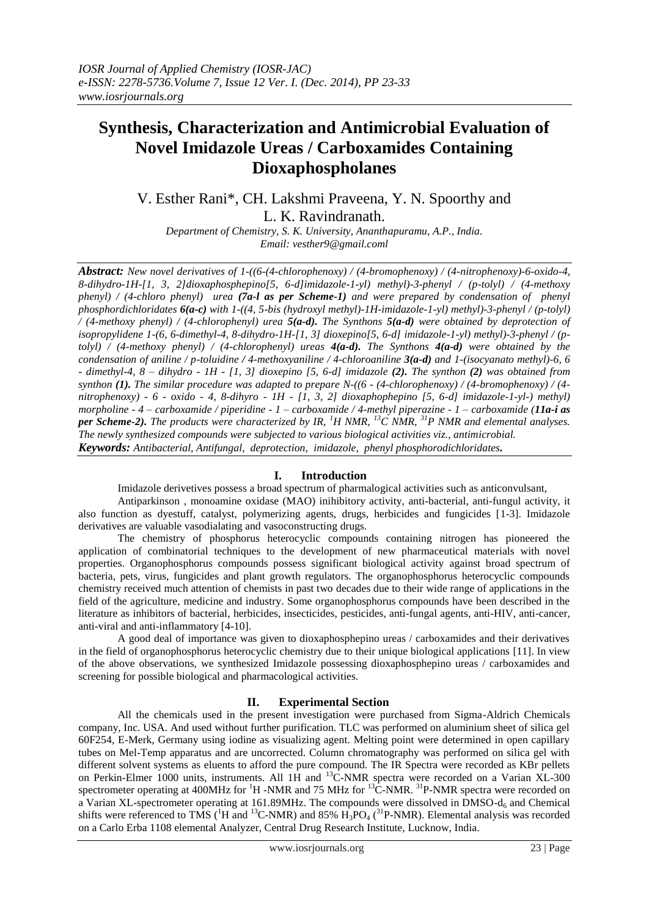# **Synthesis, Characterization and Antimicrobial Evaluation of Novel Imidazole Ureas / Carboxamides Containing Dioxaphospholanes**

V. Esther Rani\*, CH. Lakshmi Praveena, Y. N. Spoorthy and L. K. Ravindranath.

*Department of Chemistry, S. K. University, Ananthapuramu, A.P., India. Email: vesther9@gmail.coml*

*Abstract: New novel derivatives of 1-((6-(4-chlorophenoxy) / (4-bromophenoxy) / (4-nitrophenoxy)-6-oxido-4, 8-dihydro-1H-[1, 3, 2]dioxaphosphepino[5, 6-d]imidazole-1-yl) methyl)-3-phenyl / (p-tolyl) / (4-methoxy phenyl) / (4-chloro phenyl) urea (7a-l as per Scheme-1) and were prepared by condensation of phenyl phosphordichloridates 6(a-c) with 1-((4, 5-bis (hydroxyl methyl)-1H-imidazole-1-yl) methyl)-3-phenyl / (p-tolyl) / (4-methoxy phenyl) / (4-chlorophenyl) urea 5(a-d). The Synthons 5(a-d) were obtained by deprotection of isopropylidene 1-(6, 6-dimethyl-4, 8-dihydro-1H-[1, 3] dioxepino[5, 6-d] imidazole-1-yl) methyl)-3-phenyl / (ptolyl) / (4-methoxy phenyl) / (4-chlorophenyl) ureas 4(a-d). The Synthons 4(a-d) were obtained by the condensation of aniline / p-toluidine / 4-methoxyaniline / 4-chloroaniline 3(a-d) and 1-(isocyanato methyl)-6, 6 - dimethyl-4, 8 – dihydro - 1H - [1, 3] dioxepino [5, 6-d] imidazole (2). The synthon (2) was obtained from synthon (1). The similar procedure was adapted to prepare N-((6 - (4-chlorophenoxy) / (4-bromophenoxy) / (4 nitrophenoxy) - 6 - oxido - 4, 8-dihyro - 1H - [1, 3, 2] dioxaphophepino [5, 6-d] imidazole-1-yl-) methyl) morpholine - 4 – carboxamide / piperidine - 1 – carboxamide / 4-methyl piperazine - 1 – carboxamide (11a-i as per Scheme-2). The products were characterized by IR, <sup>1</sup>H NMR, <sup>13</sup>C NMR, <sup>31</sup>P NMR and elemental analyses. The newly synthesized compounds were subjected to various biological activities viz., antimicrobial. Keywords: Antibacterial, Antifungal, deprotection, imidazole, phenyl phosphorodichloridates.* 

## **I. Introduction**

Imidazole derivetives possess a broad spectrum of pharmalogical activities such as anticonvulsant,

Antiparkinson , monoamine oxidase (MAO) inihibitory activity, anti-bacterial, anti-fungul activity, it also function as dyestuff, catalyst, polymerizing agents, drugs, herbicides and fungicides [1-3]. Imidazole derivatives are valuable vasodialating and vasoconstructing drugs.

The chemistry of phosphorus heterocyclic compounds containing nitrogen has pioneered the application of combinatorial techniques to the development of new pharmaceutical materials with novel properties. Organophosphorus compounds possess significant biological activity against broad spectrum of bacteria, pets, virus, fungicides and plant growth regulators. The organophosphorus heterocyclic compounds chemistry received much attention of chemists in past two decades due to their wide range of applications in the field of the agriculture, medicine and industry. Some organophosphorus compounds have been described in the literature as inhibitors of bacterial, herbicides, insecticides, pesticides, anti-fungal agents, anti-HIV, anti-cancer, anti-viral and anti-inflammatory [4-10].

A good deal of importance was given to dioxaphosphepino ureas / carboxamides and their derivatives in the field of organophosphorus heterocyclic chemistry due to their unique biological applications [11]. In view of the above observations, we synthesized Imidazole possessing dioxaphosphepino ureas / carboxamides and screening for possible biological and pharmacological activities.

# **II. Experimental Section**

All the chemicals used in the present investigation were purchased from Sigma-Aldrich Chemicals company, Inc. USA. And used without further purification. TLC was performed on aluminium sheet of silica gel 60F254, E-Merk, Germany using iodine as visualizing agent. Melting point were determined in open capillary tubes on Mel-Temp apparatus and are uncorrected. Column chromatography was performed on silica gel with different solvent systems as eluents to afford the pure compound. The IR Spectra were recorded as KBr pellets on Perkin-Elmer 1000 units, instruments. All 1H and <sup>13</sup>C-NMR spectra were recorded on a Varian XL-300 spectrometer operating at 400MHz for <sup>1</sup>H -NMR and 75 MHz for <sup>13</sup>C-NMR. <sup>31</sup>P-NMR spectra were recorded on a Varian XL-spectrometer operating at 161.89MHz. The compounds were dissolved in  $\text{DMSO-d}_6$  and Chemical shifts were referenced to TMS ( ${}^{1}H$  and  ${}^{13}C$ -NMR) and 85%  $H_3PO_4$  ( ${}^{31}P$ -NMR). Elemental analysis was recorded on a Carlo Erba 1108 elemental Analyzer, Central Drug Research Institute, Lucknow, India.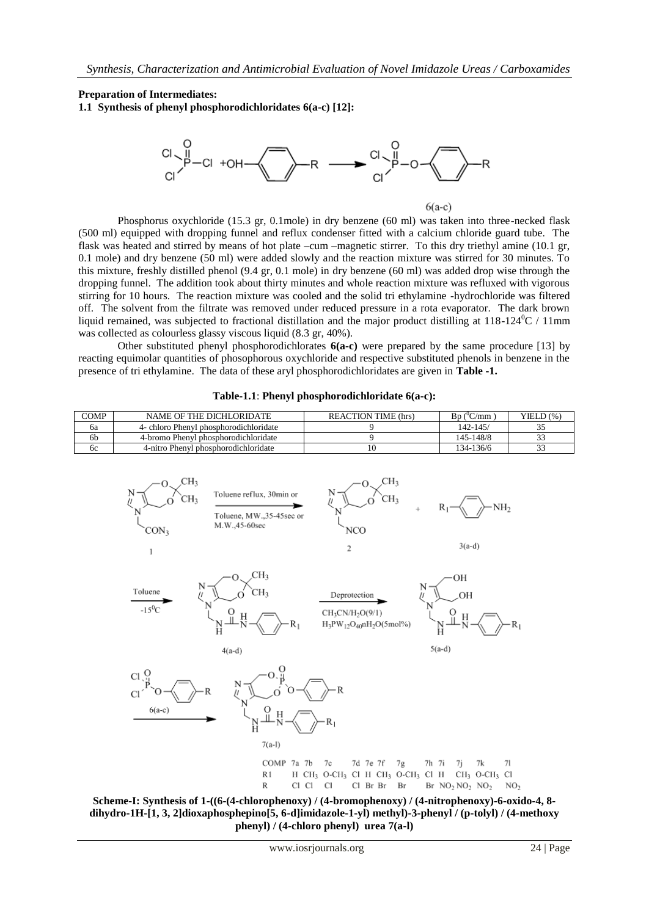**Preparation of Intermediates:**

**1.1 Synthesis of phenyl phosphorodichloridates 6(a-c) [12]:**



 $6(a-c)$ 

Phosphorus oxychloride (15.3 gr, 0.1mole) in dry benzene (60 ml) was taken into three-necked flask (500 ml) equipped with dropping funnel and reflux condenser fitted with a calcium chloride guard tube. The flask was heated and stirred by means of hot plate –cum –magnetic stirrer. To this dry triethyl amine (10.1 gr, 0.1 mole) and dry benzene (50 ml) were added slowly and the reaction mixture was stirred for 30 minutes. To this mixture, freshly distilled phenol (9.4 gr, 0.1 mole) in dry benzene (60 ml) was added drop wise through the dropping funnel. The addition took about thirty minutes and whole reaction mixture was refluxed with vigorous stirring for 10 hours. The reaction mixture was cooled and the solid tri ethylamine -hydrochloride was filtered off. The solvent from the filtrate was removed under reduced pressure in a rota evaporator. The dark brown liquid remained, was subjected to fractional distillation and the major product distilling at  $118-124^{\circ}\text{C}$  / 11mm was collected as colourless glassy viscous liquid (8.3 gr, 40%).

Other substituted phenyl phosphorodichlorates **6(a-c)** were prepared by the same procedure [13] by reacting equimolar quantities of phosophorous oxychloride and respective substituted phenols in benzene in the presence of tri ethylamine. The data of these aryl phosphorodichloridates are given in **Table -1.**

| COMP | NAME OF THE DICHLORIDATE               | <b>REACTION TIME (hrs)</b> | C/cmm<br>Bɒ ( | YIED(%)    |
|------|----------------------------------------|----------------------------|---------------|------------|
| 6a   | 4- chloro Phenyl phosphorodichloridate |                            | $142 - 145$   |            |
| 6b   | 4-bromo Phenyl phosphorodichloridate   |                            | 145-148/8     | <u>. .</u> |
| 6с   | 4-nitro Phenyl phosphorodichloridate   |                            | 134-136/6     |            |

#### **Table-1.1**: **Phenyl phosphorodichloridate 6(a-c):**



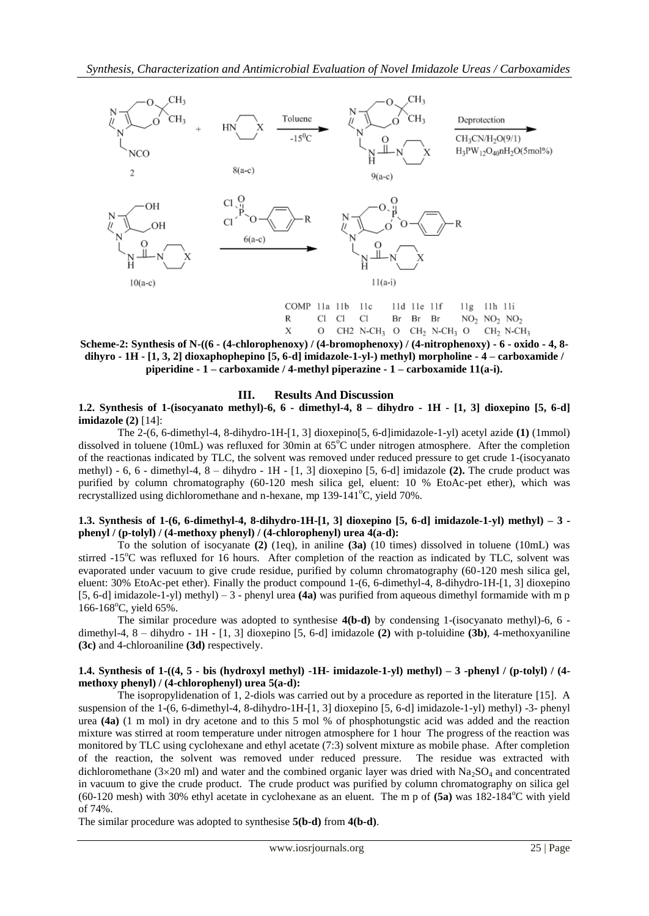

**Scheme-2: Synthesis of N-((6 - (4-chlorophenoxy) / (4-bromophenoxy) / (4-nitrophenoxy) - 6 - oxido - 4, 8 dihyro - 1H - [1, 3, 2] dioxaphophepino [5, 6-d] imidazole-1-yl-) methyl) morpholine - 4 – carboxamide / piperidine - 1 – carboxamide / 4-methyl piperazine - 1 – carboxamide 11(a-i).**

#### **III. Results And Discussion**

**1.2. Synthesis of 1-(isocyanato methyl)-6, 6 - dimethyl-4, 8 – dihydro - 1H - [1, 3] dioxepino [5, 6-d] imidazole (2)** [14]:

The 2-(6, 6-dimethyl-4, 8-dihydro-1H-[1, 3] dioxepino[5, 6-d]imidazole-1-yl) acetyl azide **(1)** (1mmol) dissolved in toluene (10mL) was refluxed for 30min at  $65^{\circ}$ C under nitrogen atmosphere. After the completion of the reactionas indicated by TLC, the solvent was removed under reduced pressure to get crude 1-(isocyanato methyl) - 6, 6 - dimethyl-4, 8 – dihydro - 1H - [1, 3] dioxepino [5, 6-d] imidazole **(2).** The crude product was purified by column chromatography (60-120 mesh silica gel, eluent: 10 % EtoAc-pet ether), which was recrystallized using dichloromethane and n-hexane, mp  $139-141^{\circ}$ C, yield  $70\%$ .

#### **1.3. Synthesis of 1-(6, 6-dimethyl-4, 8-dihydro-1H-[1, 3] dioxepino [5, 6-d] imidazole-1-yl) methyl) – 3 phenyl / (p-tolyl) / (4-methoxy phenyl) / (4-chlorophenyl) urea 4(a-d):**

To the solution of isocyanate **(2)** (1eq), in aniline **(3a)** (10 times) dissolved in toluene (10mL) was stirred -15<sup>o</sup>C was refluxed for 16 hours. After completion of the reaction as indicated by TLC, solvent was evaporated under vacuum to give crude residue, purified by column chromatography (60-120 mesh silica gel, eluent: 30% EtoAc-pet ether). Finally the product compound 1-(6, 6-dimethyl-4, 8-dihydro-1H-[1, 3] dioxepino [5, 6-d] imidazole-1-yl) methyl) – 3 - phenyl urea **(4a)** was purified from aqueous dimethyl formamide with m p 166-168 $^{\circ}$ C, yield 65%.

The similar procedure was adopted to synthesise **4(b-d)** by condensing 1-(isocyanato methyl)-6, 6 dimethyl-4, 8 – dihydro - 1H - [1, 3] dioxepino [5, 6-d] imidazole **(2)** with p-toluidine **(3b)**, 4-methoxyaniline **(3c)** and 4-chloroaniline **(3d)** respectively.

#### **1.4. Synthesis of 1-((4, 5 - bis (hydroxyl methyl) -1H- imidazole-1-yl) methyl) – 3 -phenyl / (p-tolyl) / (4 methoxy phenyl) / (4-chlorophenyl) urea 5(a-d):**

The isopropylidenation of 1, 2-diols was carried out by a procedure as reported in the literature [15]. A suspension of the 1-(6, 6-dimethyl-4, 8-dihydro-1H-[1, 3] dioxepino [5, 6-d] imidazole-1-yl) methyl) -3- phenyl urea **(4a)** (1 m mol) in dry acetone and to this 5 mol % of phosphotungstic acid was added and the reaction mixture was stirred at room temperature under nitrogen atmosphere for 1 hour The progress of the reaction was monitored by TLC using cyclohexane and ethyl acetate (7:3) solvent mixture as mobile phase. After completion of the reaction, the solvent was removed under reduced pressure. The residue was extracted with dichloromethane ( $3\times20$  ml) and water and the combined organic layer was dried with  $Na_2SO_4$  and concentrated in vacuum to give the crude product. The crude product was purified by column chromatography on silica gel  $(60-120 \text{ mesh})$  with 30% ethyl acetate in cyclohexane as an eluent. The m p of  $(5a)$  was  $182-184^{\circ}$ C with yield of 74%.

The similar procedure was adopted to synthesise **5(b-d)** from **4(b-d)**.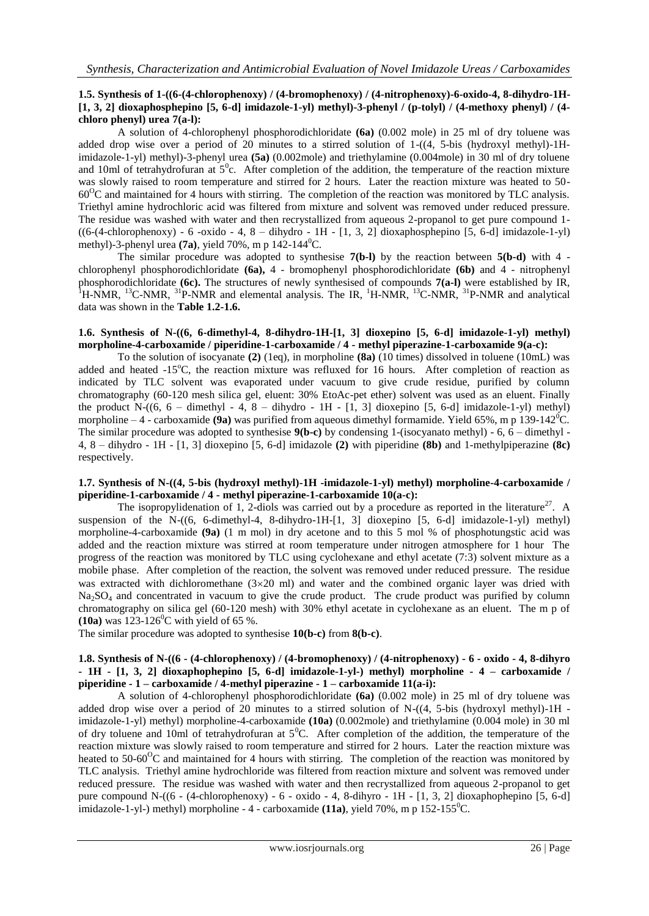## **1.5. Synthesis of 1-((6-(4-chlorophenoxy) / (4-bromophenoxy) / (4-nitrophenoxy)-6-oxido-4, 8-dihydro-1H- [1, 3, 2] dioxaphosphepino [5, 6-d] imidazole-1-yl) methyl)-3-phenyl / (p-tolyl) / (4-methoxy phenyl) / (4 chloro phenyl) urea 7(a-l):**

A solution of 4-chlorophenyl phosphorodichloridate **(6a)** (0.002 mole) in 25 ml of dry toluene was added drop wise over a period of 20 minutes to a stirred solution of 1-((4, 5-bis (hydroxyl methyl)-1Himidazole-1-yl) methyl)-3-phenyl urea **(5a)** (0.002mole) and triethylamine (0.004mole) in 30 ml of dry toluene and 10ml of tetrahydrofuran at  $5^\circ$ c. After completion of the addition, the temperature of the reaction mixture was slowly raised to room temperature and stirred for 2 hours. Later the reaction mixture was heated to 50- 60<sup>O</sup>C and maintained for 4 hours with stirring. The completion of the reaction was monitored by TLC analysis. Triethyl amine hydrochloric acid was filtered from mixture and solvent was removed under reduced pressure. The residue was washed with water and then recrystallized from aqueous 2-propanol to get pure compound 1-  $((6-(4-chlorophenoxy) - 6 -oxide - 4, 8 - dihydro - 1H - [1, 3, 2] dioxaphosphepino [5, 6-d] imidazole-1-yl)$ methyl)-3-phenyl urea (**7a**), yield 70%, m p 142-144<sup>0</sup>C.

The similar procedure was adopted to synthesise **7(b-l)** by the reaction between **5(b-d)** with 4 chlorophenyl phosphorodichloridate **(6a),** 4 - bromophenyl phosphorodichloridate **(6b)** and 4 - nitrophenyl phosphorodichloridate **(6c).** The structures of newly synthesised of compounds **7(a-l)** were established by IR,  $1 + 1$ H-NMR, <sup>13</sup>C-NMR, <sup>31</sup>P-NMR and elemental analysis. The IR, <sup>1</sup>H-NMR, <sup>13</sup>C-NMR, <sup>31</sup>P-NMR and analytical data was shown in the **Table 1.2-1.6.**

## **1.6. Synthesis of N-((6, 6-dimethyl-4, 8-dihydro-1H-[1, 3] dioxepino [5, 6-d] imidazole-1-yl) methyl) morpholine-4-carboxamide / piperidine-1-carboxamide / 4 - methyl piperazine-1-carboxamide 9(a-c):**

To the solution of isocyanate **(2)** (1eq), in morpholine **(8a)** (10 times) dissolved in toluene (10mL) was added and heated  $-15^{\circ}$ C, the reaction mixture was refluxed for 16 hours. After completion of reaction as indicated by TLC solvent was evaporated under vacuum to give crude residue, purified by column chromatography (60-120 mesh silica gel, eluent: 30% EtoAc-pet ether) solvent was used as an eluent. Finally the product N- $((6, 6 -$  dimethyl - 4, 8 – dihydro - 1H - [1, 3] dioxepino [5, 6-d] imidazole-1-yl) methyl) morpholine  $-4$  - carboxamide **(9a)** was purified from aqueous dimethyl formamide. Yield 65%, m p 139-142<sup>0</sup>C. The similar procedure was adopted to synthesise **9(b-c)** by condensing 1-(isocyanato methyl) - 6, 6 – dimethyl - 4, 8 – dihydro - 1H - [1, 3] dioxepino [5, 6-d] imidazole **(2)** with piperidine **(8b)** and 1-methylpiperazine **(8c)** respectively.

#### **1.7. Synthesis of N-((4, 5-bis (hydroxyl methyl)-1H -imidazole-1-yl) methyl) morpholine-4-carboxamide / piperidine-1-carboxamide / 4 - methyl piperazine-1-carboxamide 10(a-c):**

The isopropylidenation of 1, 2-diols was carried out by a procedure as reported in the literature<sup>27</sup>. A suspension of the N-((6, 6-dimethyl-4, 8-dihydro-1H-[1, 3] dioxepino [5, 6-d] imidazole-1-yl) methyl) morpholine-4-carboxamide **(9a)** (1 m mol) in dry acetone and to this 5 mol % of phosphotungstic acid was added and the reaction mixture was stirred at room temperature under nitrogen atmosphere for 1 hour The progress of the reaction was monitored by TLC using cyclohexane and ethyl acetate (7:3) solvent mixture as a mobile phase. After completion of the reaction, the solvent was removed under reduced pressure. The residue was extracted with dichloromethane  $(3\times20 \text{ ml})$  and water and the combined organic layer was dried with Na<sub>2</sub>SO<sub>4</sub> and concentrated in vacuum to give the crude product. The crude product was purified by column chromatography on silica gel (60-120 mesh) with 30% ethyl acetate in cyclohexane as an eluent. The m p of **(10a)** was  $123-126^{\circ}$ C with yield of 65 %.

The similar procedure was adopted to synthesise **10(b-c)** from **8(b-c)**.

#### **1.8. Synthesis of N-((6 - (4-chlorophenoxy) / (4-bromophenoxy) / (4-nitrophenoxy) - 6 - oxido - 4, 8-dihyro - 1H - [1, 3, 2] dioxaphophepino [5, 6-d] imidazole-1-yl-) methyl) morpholine - 4 – carboxamide / piperidine - 1 – carboxamide / 4-methyl piperazine - 1 – carboxamide 11(a-i):**

A solution of 4-chlorophenyl phosphorodichloridate **(6a)** (0.002 mole) in 25 ml of dry toluene was added drop wise over a period of 20 minutes to a stirred solution of  $N-(4, 5-bis$  (hydroxyl methyl)-1H imidazole-1-yl) methyl) morpholine-4-carboxamide **(10a)** (0.002mole) and triethylamine (0.004 mole) in 30 ml of dry toluene and 10ml of tetrahydrofuran at  $5^0$ C. After completion of the addition, the temperature of the reaction mixture was slowly raised to room temperature and stirred for 2 hours. Later the reaction mixture was heated to 50-60 $\rm{^{\circ}C}$  and maintained for 4 hours with stirring. The completion of the reaction was monitored by TLC analysis. Triethyl amine hydrochloride was filtered from reaction mixture and solvent was removed under reduced pressure. The residue was washed with water and then recrystallized from aqueous 2-propanol to get pure compound N-((6 - (4-chlorophenoxy) - 6 - oxido - 4, 8-dihyro - 1H - [1, 3, 2] dioxaphophepino [5, 6-d] imidazole-1-yl-) methyl) morpholine - 4 - carboxamide  $(11a)$ , yield 70%, m p 152-155<sup>0</sup>C.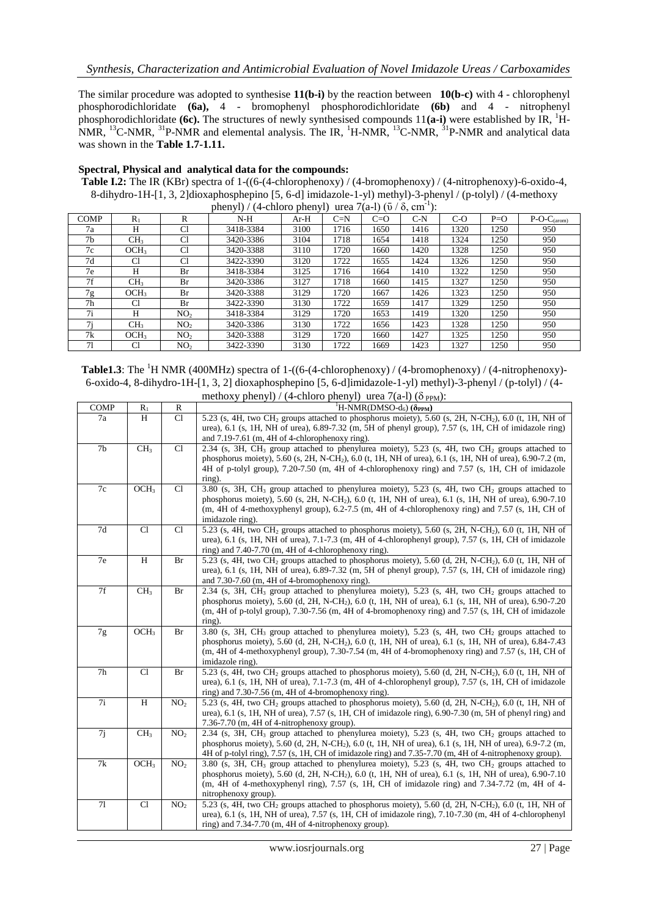The similar procedure was adopted to synthesise **11(b-i)** by the reaction between **10(b-c)** with 4 - chlorophenyl phosphorodichloridate **(6a),** 4 - bromophenyl phosphorodichloridate **(6b)** and 4 - nitrophenyl phosphorodichloridate **(6c).** The structures of newly synthesised compounds 11(a-i) were established by IR, <sup>1</sup>H-NMR, <sup>13</sup>C-NMR, <sup>31</sup>P-NMR and elemental analysis. The IR, <sup>1</sup>H-NMR, <sup>13</sup>C-NMR, <sup>31</sup>P-NMR and analytical data was shown in the **Table 1.7-1.11.**

### **Spectral, Physical and analytical data for the compounds:**

**Table I.2:** The IR (KBr) spectra of 1-((6-(4-chlorophenoxy) / (4-bromophenoxy) / (4-nitrophenoxy)-6-oxido-4, 8-dihydro-1H-[1, 3, 2]dioxaphosphepino [5, 6-d] imidazole-1-yl) methyl)-3-phenyl / (p-tolyl) / (4-methoxy phenyl) / (4-chloro phenyl) urea 7(a-l) ( $\bar{v}$  /  $\delta$ , cm<sup>-1</sup>):

|                |                  |                 | $p_{\text{new}}(1, 1)$ , i emolo phen <sub>11</sub> |        |       | $\frac{1}{2}$ |       |       |       |               |
|----------------|------------------|-----------------|-----------------------------------------------------|--------|-------|---------------|-------|-------|-------|---------------|
| <b>COMP</b>    | $R_1$            | R               | $N-H$                                               | $Ar-H$ | $C=N$ | $C=O$         | $C-N$ | $C-O$ | $P=O$ | $P-O-C(arom)$ |
| 7a             | Н                | C1              | 3418-3384                                           | 3100   | 1716  | 1650          | 1416  | 1320  | 1250  | 950           |
| 7b             | CH <sub>3</sub>  | C1              | 3420-3386                                           | 3104   | 1718  | 1654          | 1418  | 1324  | 1250  | 950           |
| 7c             | OCH <sub>3</sub> | Cl              | 3420-3388                                           | 3110   | 1720  | 1660          | 1420  | 1328  | 1250  | 950           |
| 7d             | C1               | C1              | 3422-3390                                           | 3120   | 1722  | 1655          | 1424  | 1326  | 1250  | 950           |
| 7e             | Н                | Br              | 3418-3384                                           | 3125   | 1716  | 1664          | 1410  | 1322  | 1250  | 950           |
| 7f             | CH <sub>3</sub>  | Br              | 3420-3386                                           | 3127   | 1718  | 1660          | 1415  | 1327  | 1250  | 950           |
| 7g             | OCH <sub>3</sub> | Br              | 3420-3388                                           | 3129   | 1720  | 1667          | 1426  | 1323  | 1250  | 950           |
| 7 <sub>h</sub> | C1               | Br              | 3422-3390                                           | 3130   | 1722  | 1659          | 1417  | 1329  | 1250  | 950           |
| 7i             | Н                | NO <sub>2</sub> | 3418-3384                                           | 3129   | 1720  | 1653          | 1419  | 1320  | 1250  | 950           |
| 7i             | CH <sub>3</sub>  | NO <sub>2</sub> | 3420-3386                                           | 3130   | 1722  | 1656          | 1423  | 1328  | 1250  | 950           |
| 7k             | OCH <sub>3</sub> | NO <sub>2</sub> | 3420-3388                                           | 3129   | 1720  | 1660          | 1427  | 1325  | 1250  | 950           |
| 71             | C <sub>1</sub>   | NO <sub>2</sub> | 3422-3390                                           | 3130   | 1722  | 1669          | 1423  | 1327  | 1250  | 950           |

**Table1.3**: The <sup>1</sup>H NMR (400MHz) spectra of 1-((6-(4-chlorophenoxy) / (4-bromophenoxy) / (4-nitrophenoxy)-6-oxido-4, 8-dihydro-1H-[1, 3, 2] dioxaphosphepino [5, 6-d]imidazole-1-yl) methyl)-3-phenyl / (p-tolyl) / (4 methoxy phenyl) / (4-chloro phenyl) urea  $7(a-1)$  ( $\delta$ <sub>PPM</sub>):

|                |                  |                 | $\max_{i}$ phen <sub>11</sub> , it emote phen <sub>11</sub> , area $\lim_{i}$ to $\max_{i}$ .                                                                                                                                                                                                                                                                               |
|----------------|------------------|-----------------|-----------------------------------------------------------------------------------------------------------------------------------------------------------------------------------------------------------------------------------------------------------------------------------------------------------------------------------------------------------------------------|
| <b>COMP</b>    | $\mathbb{R}_1$   | $\mathbb{R}$    | <sup>1</sup> H-NMR(DMSO-d <sub>6</sub> ) ( $\delta_{PPM}$ )                                                                                                                                                                                                                                                                                                                 |
| 7a             | H                | C1              | 5.23 (s, 4H, two CH <sub>2</sub> groups attached to phosphorus moiety), 5.60 (s, 2H, N-CH <sub>2</sub> ), 6.0 (t, 1H, NH of<br>urea), 6.1 (s, 1H, NH of urea), 6.89-7.32 (m, 5H of phenyl group), 7.57 (s, 1H, CH of imidazole ring)<br>and 7.19-7.61 (m, 4H of 4-chlorophenoxy ring).                                                                                      |
| 7 <sub>b</sub> | CH <sub>3</sub>  | Cl              | 2.34 (s, 3H, CH <sub>3</sub> group attached to phenylurea moiety), 5.23 (s, 4H, two CH <sub>2</sub> groups attached to<br>phosphorus moiety), 5.60 (s, 2H, N-CH <sub>2</sub> ), 6.0 (t, 1H, NH of urea), 6.1 (s, 1H, NH of urea), 6.90-7.2 (m,<br>4H of p-tolyl group), 7.20-7.50 (m, 4H of 4-chlorophenoxy ring) and 7.57 (s, 1H, CH of imidazole<br>ring).                |
| 7c             | OCH <sub>3</sub> | Cl              | 3.80 (s, 3H, CH <sub>3</sub> group attached to phenylurea moiety), 5.23 (s, 4H, two CH <sub>2</sub> groups attached to<br>phosphorus moiety), 5.60 (s, 2H, N-CH <sub>2</sub> ), 6.0 (t, 1H, NH of urea), 6.1 (s, 1H, NH of urea), 6.90-7.10<br>(m, 4H of 4-methoxyphenyl group), 6.2-7.5 (m, 4H of 4-chlorophenoxy ring) and 7.57 (s, 1H, CH of<br>imidazole ring).         |
| 7d             | Cl               | Cl              | 5.23 (s, 4H, two CH <sub>2</sub> groups attached to phosphorus moiety), 5.60 (s, 2H, N-CH <sub>2</sub> ), 6.0 (t, 1H, NH of<br>urea), 6.1 (s, 1H, NH of urea), 7.1-7.3 (m, 4H of 4-chlorophenyl group), 7.57 (s, 1H, CH of imidazole<br>ring) and $7.40-7.70$ (m, $4H$ of 4-chlorophenoxy ring).                                                                            |
| 7e             | $\, {\rm H}$     | Br              | 5.23 (s, 4H, two CH <sub>2</sub> groups attached to phosphorus moiety), 5.60 (d, 2H, N-CH <sub>2</sub> ), 6.0 (t, 1H, NH of<br>urea), 6.1 (s, 1H, NH of urea), $6.89-7.32$ (m, 5H of phenyl group), 7.57 (s, 1H, CH of imidazole ring)<br>and $7.30-7.60$ (m, $4H$ of $4$ -bromophenoxy ring).                                                                              |
| 7f             | CH <sub>3</sub>  | Br              | 2.34 (s, 3H, CH <sub>3</sub> group attached to phenylurea moiety), 5.23 (s, 4H, two CH <sub>2</sub> groups attached to<br>phosphorus moiety), 5.60 (d, 2H, N-CH <sub>2</sub> ), 6.0 (t, 1H, NH of urea), 6.1 (s, 1H, NH of urea), 6.90-7.20<br>$(m, 4H$ of p-tolyl group), 7.30-7.56 $(m, 4H$ of 4-bromophenoxy ring) and 7.57 $(s, 1H, CH)$ of imidazole<br>ring).         |
| $7\mathrm{g}$  | OCH <sub>3</sub> | Br              | 3.80 (s, 3H, CH <sub>3</sub> group attached to phenylurea moiety), 5.23 (s, 4H, two CH <sub>2</sub> groups attached to<br>phosphorus moiety), 5.60 (d, 2H, N-CH <sub>2</sub> ), 6.0 (t, 1H, NH of urea), 6.1 (s, 1H, NH of urea), 6.84-7.43<br>$(m, 4H$ of 4-methoxyphenyl group), 7.30-7.54 $(m, 4H$ of 4-bromophenoxy ring) and 7.57 $(s, 1H, CH)$ of<br>imidazole ring). |
| 7h             | Cl               | Br              | 5.23 (s, 4H, two CH <sub>2</sub> groups attached to phosphorus moiety), 5.60 (d, 2H, N-CH <sub>2</sub> ), 6.0 (t, 1H, NH of<br>urea), 6.1 (s, 1H, NH of urea), 7.1-7.3 (m, 4H of 4-chlorophenyl group), 7.57 (s, 1H, CH of imidazole<br>ring) and $7.30-7.56$ (m, $4H$ of 4-bromophenoxy ring).                                                                             |
| 7i             | $\, {\rm H}$     | NO <sub>2</sub> | 5.23 (s, 4H, two CH <sub>2</sub> groups attached to phosphorus moiety), 5.60 (d, 2H, N-CH <sub>2</sub> ), 6.0 (t, 1H, NH of<br>urea), 6.1 (s, 1H, NH of urea), 7.57 (s, 1H, CH of imidazole ring), 6.90-7.30 (m, 5H of phenyl ring) and<br>$7.36-7.70$ (m, 4H of 4-nitrophenoxy group).                                                                                     |
| 7j             | CH <sub>3</sub>  | NO <sub>2</sub> | 2.34 (s, 3H, CH <sub>3</sub> group attached to phenylurea moiety), 5.23 (s, 4H, two CH <sub>2</sub> groups attached to<br>phosphorus moiety), 5.60 (d, 2H, N-CH <sub>2</sub> ), 6.0 (t, 1H, NH of urea), 6.1 (s, 1H, NH of urea), 6.9-7.2 (m,<br>4H of p-tolyl ring), 7.57 (s, 1H, CH of imidazole ring) and 7.35-7.70 (m, 4H of 4-nitrophenoxy group).                     |
| 7k             | OCH <sub>3</sub> | NO <sub>2</sub> | 3.80 (s, 3H, CH <sub>3</sub> group attached to phenylurea moiety), 5.23 (s, 4H, two CH <sub>2</sub> groups attached to<br>phosphorus moiety), 5.60 (d, 2H, N-CH <sub>2</sub> ), 6.0 (t, 1H, NH of urea), 6.1 (s, 1H, NH of urea), 6.90-7.10<br>$(m, 4H$ of 4-methoxyphenyl ring), 7.57 (s, 1H, CH of imidazole ring) and 7.34-7.72 $(m, 4H$ of 4-<br>nitrophenoxy group).   |
| 71             | Cl               | NO <sub>2</sub> | 5.23 (s, 4H, two CH <sub>2</sub> groups attached to phosphorus moiety), 5.60 (d, 2H, N-CH <sub>2</sub> ), 6.0 (t, 1H, NH of<br>urea), 6.1 (s, 1H, NH of urea), 7.57 (s, 1H, CH of imidazole ring), 7.10-7.30 (m, 4H of 4-chlorophenyl<br>ring) and $7.34-7.70$ (m, $4H$ of $4$ -nitrophenoxy group).                                                                        |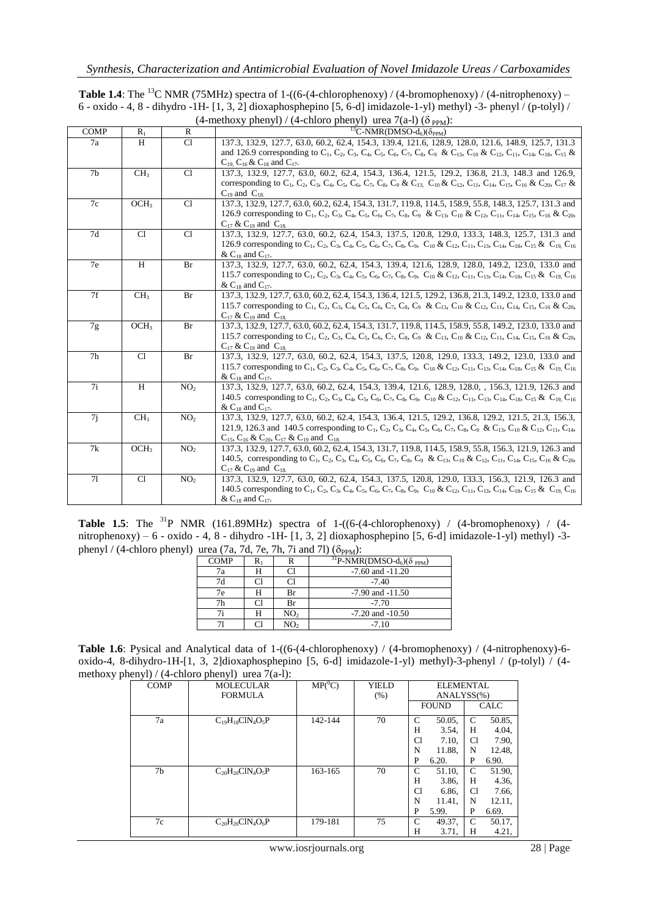| <b>Table 1.4:</b> The <sup>13</sup> C NMR (75MHz) spectra of 1-((6-(4-chlorophenoxy) / (4-bromophenoxy) / (4-nitrophenoxy) – |
|------------------------------------------------------------------------------------------------------------------------------|
| 6 - oxido - 4, 8 - dihydro -1H- $[1, 3, 2]$ dioxaphosphepino $[5, 6-d]$ imidazole-1-yl) methyl) -3- phenyl / (p-tolyl) /     |
| $(4$ -methoxy phenyl) / (4-chloro phenyl) urea 7(a-l) ( $\delta_{PPM}$ ):                                                    |

| <b>COMP</b>    | $R_1$            | $\mathbb{R}$    | ${}^{13}C\text{-NMR}(\overline{\text{DMSO-}d_6})(\delta_{\text{PPM}})$                                                                                                                                                                                                                                                          |
|----------------|------------------|-----------------|---------------------------------------------------------------------------------------------------------------------------------------------------------------------------------------------------------------------------------------------------------------------------------------------------------------------------------|
| 7a             | H                | C1              | 137.3, 132.9, 127.7, 63.0, 60.2, 62.4, 154.3, 139.4, 121.6, 128.9, 128.0, 121.6, 148.9, 125.7, 131.3                                                                                                                                                                                                                            |
|                |                  |                 | and 126.9 corresponding to C <sub>1</sub> , C <sub>2</sub> , C <sub>3</sub> , C <sub>4</sub> , C <sub>5</sub> , C <sub>6</sub> , C <sub>7</sub> , C <sub>8</sub> , C <sub>9</sub> , & C <sub>13</sub> , C <sub>10</sub> & C <sub>12</sub> , C <sub>14</sub> , C <sub>15</sub> , C <sub>15</sub> &                               |
|                |                  |                 | $C_{19}$ , $C_{16}$ & $C_{18}$ and $C_{17}$ .                                                                                                                                                                                                                                                                                   |
| 7 <sub>b</sub> | CH <sub>3</sub>  | Cl              | 137.3, 132.9, 127.7, 63.0, 60.2, 62.4, 154.3, 136.4, 121.5, 129.2, 136.8, 21.3, 148.3 and 126.9,                                                                                                                                                                                                                                |
|                |                  |                 | corresponding to C <sub>1</sub> , C <sub>2</sub> , C <sub>3</sub> , C <sub>4</sub> , C <sub>5</sub> , C <sub>6</sub> , C <sub>7</sub> , C <sub>8</sub> , C <sub>9</sub> & C <sub>13</sub> , C <sub>10</sub> & C <sub>12</sub> , C <sub>14</sub> , C <sub>15</sub> , C <sub>16</sub> & C <sub>20</sub> , C <sub>17</sub> &       |
|                |                  |                 | $C_{19}$ and $C_{18}$ .                                                                                                                                                                                                                                                                                                         |
| 7c             | OCH <sub>3</sub> | Cl              | 137.3, 132.9, 127.7, 63.0, 60.2, 62.4, 154.3, 131.7, 119.8, 114.5, 158.9, 55.8, 148.3, 125.7, 131.3 and                                                                                                                                                                                                                         |
|                |                  |                 | 126.9 corresponding to C <sub>1</sub> , C <sub>2</sub> , C <sub>3</sub> , C <sub>4</sub> , C <sub>5</sub> , C <sub>6</sub> , C <sub>7</sub> , C <sub>8</sub> , C <sub>9</sub> , & C <sub>13</sub> , C <sub>10</sub> & C <sub>12</sub> , C <sub>14</sub> , C <sub>15</sub> , C <sub>16</sub> & C <sub>20</sub> ,                 |
|                |                  |                 | $C_{17}$ & $C_{19}$ and $C_{18}$                                                                                                                                                                                                                                                                                                |
| 7d             | Cl               | Cl              | 137.3, 132.9, 127.7, 63.0, 60.2, 62.4, 154.3, 137.5, 120.8, 129.0, 133.3, 148.3, 125.7, 131.3 and                                                                                                                                                                                                                               |
|                |                  |                 | 126.9 corresponding to C <sub>1</sub> , C <sub>2</sub> , C <sub>3</sub> , C <sub>4</sub> , C <sub>5</sub> , C <sub>6</sub> , C <sub>7</sub> , C <sub>8</sub> , C <sub>9</sub> , C <sub>10</sub> & C <sub>12</sub> , C <sub>13</sub> , C <sub>14</sub> , C <sub>18</sub> , C <sub>15</sub> , & C <sub>19</sub> , C <sub>16</sub> |
|                |                  |                 | & $C_{18}$ and $C_{17}$ .                                                                                                                                                                                                                                                                                                       |
| 7e             | H                | Br              | 137.3, 132.9, 127.7, 63.0, 60.2, 62.4, 154.3, 139.4, 121.6, 128.9, 128.0, 149.2, 123.0, 133.0 and                                                                                                                                                                                                                               |
|                |                  |                 | 115.7 corresponding to $C_1$ , $C_2$ , $C_3$ , $C_4$ , $C_5$ , $C_6$ , $C_7$ , $C_8$ , $C_9$ , $C_{10}$ & $C_{12}$ , $C_{11}$ , $C_{13}$ , $C_{14}$ , $C_{18}$ , $C_{15}$ & $C_{19}$ , $C_{16}$                                                                                                                                 |
|                |                  |                 | & $C_{18}$ and $C_{17}$ .                                                                                                                                                                                                                                                                                                       |
| 7f             | CH <sub>3</sub>  | Br              | 137.3, 132.9, 127.7, 63.0, 60.2, 62.4, 154.3, 136.4, 121.5, 129.2, 136.8, 21.3, 149.2, 123.0, 133.0 and                                                                                                                                                                                                                         |
|                |                  |                 | 115.7 corresponding to C <sub>1</sub> , C <sub>2</sub> , C <sub>3</sub> , C <sub>4</sub> , C <sub>5</sub> , C <sub>6</sub> , C <sub>7</sub> , C <sub>8</sub> , C <sub>9</sub> , & C <sub>13</sub> , C <sub>10</sub> & C <sub>12</sub> , C <sub>14</sub> , C <sub>15</sub> , C <sub>16</sub> & C <sub>20</sub> ,                 |
|                |                  |                 | $C_{17}$ & $C_{19}$ and $C_{18}$                                                                                                                                                                                                                                                                                                |
| 7g             | OCH <sub>3</sub> | Br              | 137.3, 132.9, 127.7, 63.0, 60.2, 62.4, 154.3, 131.7, 119.8, 114.5, 158.9, 55.8, 149.2, 123.0, 133.0 and                                                                                                                                                                                                                         |
|                |                  |                 | 115.7 corresponding to C <sub>1</sub> , C <sub>2</sub> , C <sub>3</sub> , C <sub>4</sub> , C <sub>5</sub> , C <sub>6</sub> , C <sub>7</sub> , C <sub>8</sub> , C <sub>9</sub> & C <sub>13</sub> , C <sub>10</sub> & C <sub>12</sub> , C <sub>14</sub> , C <sub>15</sub> , C <sub>16</sub> & C <sub>20</sub> ,                   |
|                |                  |                 | $C_{17}$ & $C_{19}$ and $C_{18}$                                                                                                                                                                                                                                                                                                |
| 7 <sub>h</sub> | Cl               | Br              | 137.3, 132.9, 127.7, 63.0, 60.2, 62.4, 154.3, 137.5, 120.8, 129.0, 133.3, 149.2, 123.0, 133.0 and                                                                                                                                                                                                                               |
|                |                  |                 | 115.7 corresponding to C <sub>1</sub> , C <sub>2</sub> , C <sub>3</sub> , C <sub>4</sub> , C <sub>5</sub> , C <sub>6</sub> , C <sub>7</sub> , C <sub>8</sub> , C <sub>9</sub> , C <sub>10</sub> & C <sub>12</sub> , C <sub>13</sub> , C <sub>14</sub> , C <sub>18</sub> , C <sub>15</sub> , & C <sub>19</sub> , C <sub>16</sub> |
|                |                  |                 | & $C_{18}$ and $C_{17}$ .                                                                                                                                                                                                                                                                                                       |
| 7i             | H                | NO <sub>2</sub> | 137.3, 132.9, 127.7, 63.0, 60.2, 62.4, 154.3, 139.4, 121.6, 128.9, 128.0, 156.3, 121.9, 126.3 and                                                                                                                                                                                                                               |
|                |                  |                 | 140.5 corresponding to C <sub>1</sub> , C <sub>2</sub> , C <sub>3</sub> , C <sub>4</sub> , C <sub>5</sub> , C <sub>6</sub> , C <sub>7</sub> , C <sub>8</sub> , C <sub>10</sub> & C <sub>12</sub> , C <sub>11</sub> , C <sub>13</sub> , C <sub>14</sub> , C <sub>18</sub> , C <sub>15</sub> & C <sub>19</sub> , C <sub>16</sub>  |
|                |                  |                 | & $C_{18}$ and $C_{17}$ .                                                                                                                                                                                                                                                                                                       |
| 7j             | CH <sub>3</sub>  | NO <sub>2</sub> | 137.3, 132.9, 127.7, 63.0, 60.2, 62.4, 154.3, 136.4, 121.5, 129.2, 136.8, 129.2, 121.5, 21.3, 156.3,                                                                                                                                                                                                                            |
|                |                  |                 | 121.9, 126.3 and 140.5 corresponding to C <sub>1</sub> , C <sub>2</sub> , C <sub>3</sub> , C <sub>4</sub> , C <sub>5</sub> , C <sub>6</sub> , C <sub>7</sub> , C <sub>8</sub> , C <sub>9</sub> & C <sub>13</sub> , C <sub>10</sub> & C <sub>12</sub> , C <sub>11</sub> , C <sub>14</sub> ,                                      |
|                |                  |                 | $C_{15}$ , $C_{16}$ & $C_{20}$ , $C_{17}$ & $C_{19}$ and $C_{18}$ .                                                                                                                                                                                                                                                             |
| 7k             | OCH <sub>3</sub> | NO <sub>2</sub> | 137.3, 132.9, 127.7, 63.0, 60.2, 62.4, 154.3, 131.7, 119.8, 114.5, 158.9, 55.8, 156.3, 121.9, 126.3 and                                                                                                                                                                                                                         |
|                |                  |                 | 140.5, corresponding to C <sub>1</sub> , C <sub>2</sub> , C <sub>3</sub> , C <sub>4</sub> , C <sub>5</sub> , C <sub>6</sub> , C <sub>7</sub> , C <sub>8</sub> , C <sub>9</sub> , & C <sub>13</sub> , C <sub>10</sub> & C <sub>12</sub> , C <sub>14</sub> , C <sub>15</sub> , C <sub>16</sub> & C <sub>20</sub> ,                |
|                |                  |                 | $C_{17}$ & $C_{19}$ and $C_{18}$                                                                                                                                                                                                                                                                                                |
| 71             | Cl               | NO <sub>2</sub> | 137.3, 132.9, 127.7, 63.0, 60.2, 62.4, 154.3, 137.5, 120.8, 129.0, 133.3, 156.3, 121.9, 126.3 and                                                                                                                                                                                                                               |
|                |                  |                 | 140.5 corresponding to C <sub>1</sub> , C <sub>2</sub> , C <sub>3</sub> , C <sub>4</sub> , C <sub>5</sub> , C <sub>6</sub> , C <sub>7</sub> , C <sub>8</sub> , C <sub>9</sub> , C <sub>10</sub> & C <sub>12</sub> , C <sub>11</sub> , C <sub>13</sub> , C <sub>14</sub> , C <sub>18</sub> , & C <sub>19</sub> , C <sub>16</sub> |
|                |                  |                 | & $C_{18}$ and $C_{17}$ .                                                                                                                                                                                                                                                                                                       |

**Table 1.5**: The <sup>31</sup>P NMR (161.89MHz) spectra of 1-((6-(4-chlorophenoxy) / (4-bromophenoxy) / (4nitrophenoxy) – 6 - oxido - 4, 8 - dihydro -1H- [1, 3, 2] dioxaphosphepino [5, 6-d] imidazole-1-yl) methyl) -3 phenyl / (4-chloro phenyl) urea (7a, 7d, 7e, 7h, 7i and 7l) ( $\delta_{PPM}$ ):

| <b>COMP</b> | Rı |                 | $\frac{31}{9}$ P-NMR(DMSO-d <sub>6</sub> )( $\delta$ <sub>PPM</sub> ) |
|-------------|----|-----------------|-----------------------------------------------------------------------|
| 7a          | н  | Cl              | $-7.60$ and $-11.20$                                                  |
| 7d          | Сl | Cl              | $-7.40$                                                               |
| 7e          | H  | Br              | $-7.90$ and $-11.50$                                                  |
| 7h          | Ωl | Br              | $-7.70$                                                               |
|             | H  | NO <sub>2</sub> | $-7.20$ and $-10.50$                                                  |
|             |    | NO2             | $-7.10$                                                               |

| <b>Table 1.6</b> : Pysical and Analytical data of $1-(6-(4-chlorophenoxy) / (4-bromophenoxy) / (4-nitrophenoxy)-6-$ |
|---------------------------------------------------------------------------------------------------------------------|
| oxido-4, 8-dihydro-1H-[1, 3, 2]dioxaphosphepino [5, 6-d] imidazole-1-yl) methyl)-3-phenyl / (p-tolyl) / (4-         |
| methoxy phenyl) / (4-chloro phenyl) urea $7(a-1)$ :                                                                 |

| <b>COMP</b> | <b>MOLECULAR</b>        | $MP(^0C)$ | <b>YIELD</b> |    | <b>ELEMENTAL</b> |                |             |
|-------------|-------------------------|-----------|--------------|----|------------------|----------------|-------------|
|             | <b>FORMULA</b>          |           | (% )         |    | ANALYSS(%)       |                |             |
|             |                         |           |              |    | <b>FOUND</b>     |                | <b>CALC</b> |
| 7a          | $C_{19}H_{18}CIN_4O_5P$ | 142-144   | 70           | C  | 50.05,           | $\mathcal{C}$  | 50.85,      |
|             |                         |           |              | Н  | 3.54.            | H              | 4.04.       |
|             |                         |           |              | Cl | 7.10,            | C1             | 7.90,       |
|             |                         |           |              | N  | 11.88.           | N              | 12.48.      |
|             |                         |           |              | P  | 6.20.            | P              | 6.90.       |
| 7b          | $C_{20}H_{20}CIN_4O_5P$ | 163-165   | 70           | C  | 51.10,           | $\mathcal{C}$  | 51.90.      |
|             |                         |           |              | H  | 3.86,            | H              | 4.36,       |
|             |                         |           |              | C1 | 6.86,            | C <sub>1</sub> | 7.66,       |
|             |                         |           |              | N  | 11.41,           | N              | 12.11,      |
|             |                         |           |              | P  | 5.99.            | P              | 6.69.       |
| 7c          | $C_{20}H_{20}CIN_4O_6P$ | 179-181   | 75           | C  | 49.37,           | C              | 50.17,      |
|             |                         |           |              | н  | 3.71.            | Н              | 4.21,       |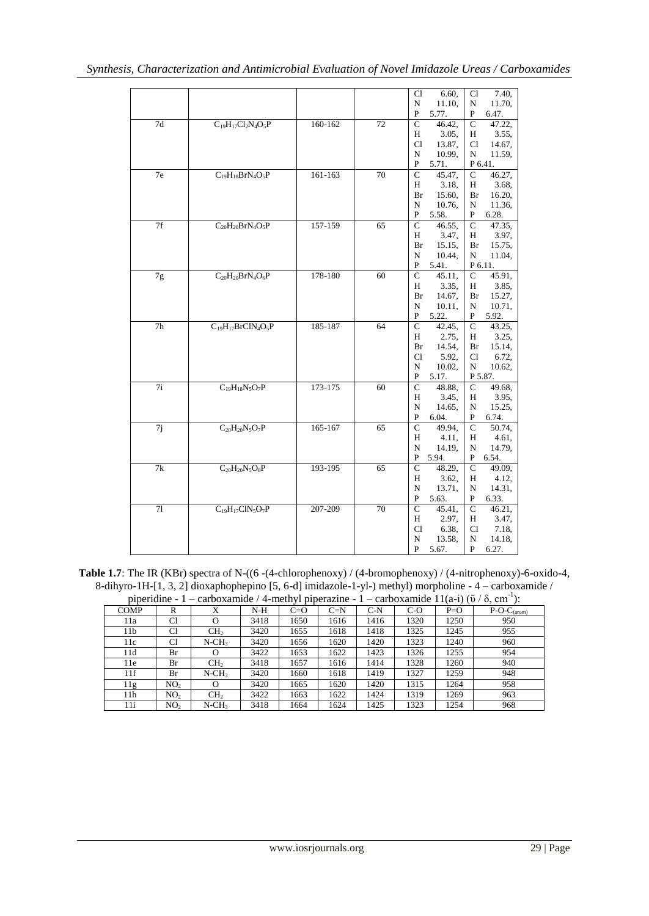|                 |                           |             |    | 6.60,<br>Cl              | 7.40,<br>Cl                    |
|-----------------|---------------------------|-------------|----|--------------------------|--------------------------------|
|                 |                           |             |    | ${\bf N}$<br>11.10,      | ${\bf N}$<br>11.70,            |
|                 |                           |             |    | P<br>5.77.               | 6.47.<br>P                     |
| 7d              | $C_{19}H_{17}Cl_2N_4O_5P$ | 160-162     | 72 | $\mathsf{C}$<br>46.42,   | $\mathcal{C}$<br>47.22,        |
|                 |                           |             |    | 3.05,<br>Η               | 3.55,<br>Η                     |
|                 |                           |             |    | C1<br>13.87.             | C1<br>14.67,                   |
|                 |                           |             |    | N<br>10.99,              | N<br>11.59,                    |
|                 |                           |             |    | P<br>5.71.               | P 6.41.                        |
| 7e              | $C_{19}H_{18}BrN_4O_5P$   | $161 - 163$ | 70 | $\overline{C}$<br>45.47, | $\mathbf C$<br>46.27,          |
|                 |                           |             |    | Н<br>3.18,               | 3.68.<br>H                     |
|                 |                           |             |    | 15.60,<br>Br             | 16.20,<br>Br                   |
|                 |                           |             |    | N<br>10.76,              | ${\bf N}$<br>11.36,            |
|                 |                           |             |    | P<br>5.58.               | P<br>6.28.                     |
| 7f              | $C_{20}H_{20}BrN_4O_5P$   | 157-159     | 65 | $\mathcal{C}$<br>46.55,  | $\mathcal{C}$<br>47.35,        |
|                 |                           |             |    | 3.47,<br>Н               | 3.97.<br>Η                     |
|                 |                           |             |    | 15.15,<br>Br             | 15.75,<br>Br                   |
|                 |                           |             |    | N<br>10.44,              | N<br>11.04,                    |
|                 |                           |             |    | P<br>5.41.               | P 6.11.                        |
| 7g              | $C_{20}H_{20}BrN_4O_6P$   | 178-180     | 60 | $\mathbf C$<br>45.11,    | $\mathbf C$<br>45.91,<br>3.85. |
|                 |                           |             |    | 3.35.<br>Н               | H                              |
|                 |                           |             |    | 14.67,<br>Br<br>N        | 15.27,<br>Br<br>N<br>10.71,    |
|                 |                           |             |    | 10.11,<br>P<br>5.22.     | P<br>5.92.                     |
| $\overline{7h}$ | $C_{19}H_{17}BrClN_4O_5P$ | 185-187     | 64 | $\mathbf C$<br>42.45,    | $\mathsf{C}$<br>43.25,         |
|                 |                           |             |    | H<br>2.75.               | 3.25.<br>H                     |
|                 |                           |             |    | 14.54,<br>Br             | 15.14,<br>Br                   |
|                 |                           |             |    | Cl<br>5.92,              | C1<br>6.72,                    |
|                 |                           |             |    | ${\bf N}$<br>10.02,      | N<br>10.62,                    |
|                 |                           |             |    | P<br>5.17.               | P 5.87.                        |
| 7i              | $C_{19}H_{18}N_5O_7P$     | $173 - 175$ | 60 | $\mathbf C$<br>48.88.    | $\mathsf{C}$<br>49.68.         |
|                 |                           |             |    | Н<br>3.45.               | 3.95,<br>Η                     |
|                 |                           |             |    | N<br>14.65.              | 15.25,<br>N                    |
|                 |                           |             |    | P<br>6.04.               | P<br>6.74.                     |
| 7j              | $C_{20}H_{20}N_5O_7P$     | 165-167     | 65 | $\mathcal{C}$<br>49.94,  | $\mathsf{C}$<br>50.74,         |
|                 |                           |             |    | H<br>4.11,               | 4.61.<br>Η                     |
|                 |                           |             |    | N<br>14.19,              | 14.79,<br>N                    |
|                 |                           |             |    | P<br>5.94.               | P<br>6.54.                     |
| 7k              | $C_{20}H_{20}N_5O_8P$     | 193-195     | 65 | 48.29,<br>$\mathsf{C}$   | $\mathsf{C}$<br>49.09.         |
|                 |                           |             |    | H<br>3.62,               | 4.12,<br>Η                     |
|                 |                           |             |    | $\mathbf N$<br>13.71,    | ${\bf N}$<br>14.31,            |
|                 |                           |             |    | P<br>5.63.               | ${\bf P}$<br>6.33.             |
| 71              | $C_{19}H_{17}C1N_5O_7P$   | 207-209     | 70 | $\mathbf C$<br>45.41,    | $\mathsf{C}$<br>46.21,         |
|                 |                           |             |    | 2.97,<br>Η               | 3.47.<br>Η                     |
|                 |                           |             |    | Cl<br>6.38,              | 7.18,<br>Cl                    |
|                 |                           |             |    | N<br>13.58,              | 14.18,<br>N                    |
|                 |                           |             |    | $\mathbf{P}$<br>5.67.    | P<br>6.27.                     |

**Table 1.7**: The IR (KBr) spectra of N-((6 -(4-chlorophenoxy) / (4-bromophenoxy) / (4-nitrophenoxy)-6-oxido-4, 8-dihyro-1H-[1, 3, 2] dioxaphophepino [5, 6-d] imidazole-1-yl-) methyl) morpholine - 4 – carboxamide / piperidine - 1 – carboxamide / 4-methyl piperazine - 1 – carboxamide 11(a-i) ( $\bar{v}$  /  $\delta$ , cm<sup>-1</sup>):

|                 | piperiume - 1 – carboxaniide / 4-metrivi piperazine - 1 – carboxaniide 11(a-1) (0 / 0, cm ). |                      |       |       |       |       |       |       |                                 |  |
|-----------------|----------------------------------------------------------------------------------------------|----------------------|-------|-------|-------|-------|-------|-------|---------------------------------|--|
| <b>COMP</b>     | R                                                                                            | X                    | $N-H$ | $C=O$ | $C=N$ | $C-N$ | $C-O$ | $P=O$ | $\overline{P}$ -O-C $_{(arom)}$ |  |
| 11a             | C1                                                                                           |                      | 3418  | 1650  | 1616  | 1416  | 1320  | 1250  | 950                             |  |
| 11 <sub>b</sub> | Cl                                                                                           | CH <sub>2</sub>      | 3420  | 1655  | 1618  | 1418  | 1325  | 1245  | 955                             |  |
| 11c             | Cl                                                                                           | $N$ -CH <sub>3</sub> | 3420  | 1656  | 1620  | 1420  | 1323  | 1240  | 960                             |  |
| 11d             | Br                                                                                           | $\Omega$             | 3422  | 1653  | 1622  | 1423  | 1326  | 1255  | 954                             |  |
| 11e             | Br                                                                                           | CH <sub>2</sub>      | 3418  | 1657  | 1616  | 1414  | 1328  | 1260  | 940                             |  |
| 11f             | Br                                                                                           | $N$ -CH <sub>3</sub> | 3420  | 1660  | 1618  | 1419  | 1327  | 1259  | 948                             |  |
| 11g             | NO <sub>2</sub>                                                                              | O                    | 3420  | 1665  | 1620  | 1420  | 1315  | 1264  | 958                             |  |
| 11 <sub>h</sub> | NO <sub>2</sub>                                                                              | CH <sub>2</sub>      | 3422  | 1663  | 1622  | 1424  | 1319  | 1269  | 963                             |  |
| 11i             | NO <sub>2</sub>                                                                              | $N$ -CH <sub>3</sub> | 3418  | 1664  | 1624  | 1425  | 1323  | 1254  | 968                             |  |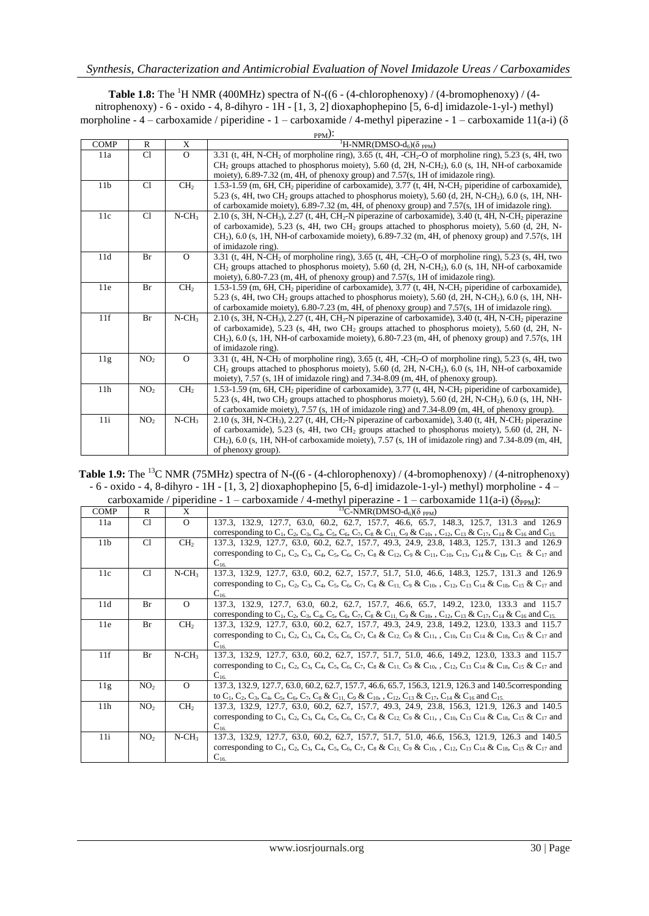**Table 1.8:** The <sup>1</sup>H NMR (400MHz) spectra of N-((6 - (4-chlorophenoxy) / (4-bromophenoxy) / (4nitrophenoxy) - 6 - oxido - 4, 8-dihyro - 1H - [1, 3, 2] dioxaphophepino [5, 6-d] imidazole-1-yl-) methyl) morpholine - 4 – carboxamide / piperidine - 1 – carboxamide / 4-methyl piperazine - 1 – carboxamide 11(a-i) ( $\delta$  $\mathcal{N}$ 

| <b>COMP</b>     | R               | X                    | $PPM/\cdot$<br><sup>1</sup> H-NMR(DMSO-d <sub>6</sub> )( $\delta$ <sub>PPM</sub> )                                                                                                                                                                  |
|-----------------|-----------------|----------------------|-----------------------------------------------------------------------------------------------------------------------------------------------------------------------------------------------------------------------------------------------------|
| 11a             | Cl              | $\Omega$             | 3.31 (t, 4H, N-CH <sub>2</sub> of morpholine ring), 3.65 (t, 4H, -CH <sub>2</sub> -O of morpholine ring), 5.23 (s, 4H, two                                                                                                                          |
|                 |                 |                      | CH <sub>2</sub> groups attached to phosphorus moiety), 5.60 (d, 2H, N-CH <sub>2</sub> ), 6.0 (s, 1H, NH-of carboxamide                                                                                                                              |
|                 |                 |                      | moiety), $6.89-7.32$ (m, 4H, of phenoxy group) and $7.57$ (s, 1H of imidazole ring).                                                                                                                                                                |
| 11 <sub>b</sub> | Cl              | CH <sub>2</sub>      | 1.53-1.59 (m, 6H, CH <sub>2</sub> piperidine of carboxamide), 3.77 (t, 4H, N-CH <sub>2</sub> piperidine of carboxamide),                                                                                                                            |
|                 |                 |                      | 5.23 (s, 4H, two CH <sub>2</sub> groups attached to phosphorus moiety), 5.60 (d, 2H, N-CH <sub>2</sub> ), 6.0 (s, 1H, NH-                                                                                                                           |
|                 |                 |                      | of carboxamide moiety), 6.89-7.32 (m, 4H, of phenoxy group) and 7.57(s, 1H of imidazole ring).                                                                                                                                                      |
| 11c             | Cl              | $N$ -CH <sub>3</sub> | 2.10 (s, 3H, N-CH <sub>3</sub> ), 2.27 (t, 4H, CH <sub>2</sub> -N piperazine of carboxamide), 3.40 (t, 4H, N-CH <sub>2</sub> piperazine                                                                                                             |
|                 |                 |                      | of carboxamide), 5.23 (s, 4H, two CH <sub>2</sub> groups attached to phosphorus moiety), 5.60 (d, 2H, N-                                                                                                                                            |
|                 |                 |                      | $CH2$ ), 6.0 (s, 1H, NH-of carboxamide moiety), 6.89-7.32 (m, 4H, of phenoxy group) and 7.57(s, 1H                                                                                                                                                  |
|                 |                 |                      | of imidazole ring).                                                                                                                                                                                                                                 |
| 11d             | Br              | $\Omega$             | 3.31 (t, 4H, N-CH <sub>2</sub> of morpholine ring), 3.65 (t, 4H, -CH <sub>2</sub> -O of morpholine ring), 5.23 (s, 4H, two                                                                                                                          |
|                 |                 |                      | $CH2$ groups attached to phosphorus moiety), 5.60 (d, 2H, N-CH <sub>2</sub> ), 6.0 (s, 1H, NH-of carboxamide                                                                                                                                        |
|                 |                 |                      | moiety), 6.80-7.23 (m, 4H, of phenoxy group) and 7.57(s, 1H of imidazole ring).                                                                                                                                                                     |
| 11e             | Br              | CH <sub>2</sub>      | 1.53-1.59 (m, 6H, CH <sub>2</sub> piperidine of carboxamide), 3.77 (t, 4H, N-CH <sub>2</sub> piperidine of carboxamide),                                                                                                                            |
|                 |                 |                      | 5.23 (s, 4H, two CH <sub>2</sub> groups attached to phosphorus moiety), 5.60 (d, 2H, N-CH <sub>2</sub> ), 6.0 (s, 1H, NH-                                                                                                                           |
| 11f             |                 | $N$ -CH <sub>3</sub> | of carboxamide moiety), 6.80-7.23 (m, 4H, of phenoxy group) and 7.57(s, 1H of imidazole ring).                                                                                                                                                      |
|                 | Br              |                      | 2.10 (s, 3H, N-CH <sub>3</sub> ), 2.27 (t, 4H, CH <sub>2</sub> -N piperazine of carboxamide), 3.40 (t, 4H, N-CH <sub>2</sub> piperazine<br>of carboxamide), 5.23 (s, 4H, two CH <sub>2</sub> groups attached to phosphorus moiety), 5.60 (d, 2H, N- |
|                 |                 |                      | $CH2$ ), 6.0 (s, 1H, NH-of carboxamide moiety), 6.80-7.23 (m, 4H, of phenoxy group) and 7.57(s, 1H                                                                                                                                                  |
|                 |                 |                      | of imidazole ring).                                                                                                                                                                                                                                 |
| 11g             | NO <sub>2</sub> | $\Omega$             | 3.31 (t, 4H, N-CH <sub>2</sub> of morpholine ring), 3.65 (t, 4H, -CH <sub>2</sub> -O of morpholine ring), 5.23 (s, 4H, two                                                                                                                          |
|                 |                 |                      | $CH2$ groups attached to phosphorus moiety), 5.60 (d, 2H, N-CH <sub>2</sub> ), 6.0 (s, 1H, NH-of carboxamide                                                                                                                                        |
|                 |                 |                      | moiety), 7.57 (s, 1H of imidazole ring) and 7.34-8.09 (m, 4H, of phenoxy group).                                                                                                                                                                    |
| 11h             | NO <sub>2</sub> | CH <sub>2</sub>      | 1.53-1.59 (m, 6H, CH <sub>2</sub> piperidine of carboxamide), 3.77 (t, 4H, N-CH <sub>2</sub> piperidine of carboxamide),                                                                                                                            |
|                 |                 |                      | 5.23 (s, 4H, two CH <sub>2</sub> groups attached to phosphorus moiety), 5.60 (d, 2H, N-CH <sub>2</sub> ), 6.0 (s, 1H, NH-                                                                                                                           |
|                 |                 |                      | of carboxamide moiety), 7.57 (s, 1H of imidazole ring) and 7.34-8.09 (m, 4H, of phenoxy group).                                                                                                                                                     |
| 11i             | NO <sub>2</sub> | $N$ -CH <sub>3</sub> | 2.10 (s, 3H, N-CH <sub>3</sub> ), 2.27 (t, 4H, CH <sub>2</sub> -N piperazine of carboxamide), 3.40 (t, 4H, N-CH <sub>2</sub> piperazine                                                                                                             |
|                 |                 |                      | of carboxamide), 5.23 (s, 4H, two CH <sub>2</sub> groups attached to phosphorus moiety), 5.60 (d, 2H, N-                                                                                                                                            |
|                 |                 |                      | $CH2$ ), 6.0 (s, 1H, NH-of carboxamide moiety), 7.57 (s, 1H of imidazole ring) and 7.34-8.09 (m, 4H,                                                                                                                                                |
|                 |                 |                      | of phenoxy group).                                                                                                                                                                                                                                  |

Table 1.9: The <sup>13</sup>C NMR (75MHz) spectra of N-((6 - (4-chlorophenoxy) / (4-bromophenoxy) / (4-nitrophenoxy) - 6 - oxido - 4, 8-dihyro - 1H - [1, 3, 2] dioxaphophepino [5, 6-d] imidazole-1-yl-) methyl) morpholine - 4 –

carboxamide / piperidine - 1 – carboxamide / 4-methyl piperazine - 1 – carboxamide 11(a-i) ( $\delta_{PPM}$ ):

| <b>COMP</b>     | R               | X                    | <sup>13</sup> C-NMR(DMSO-d <sub>6</sub> )( $\delta$ <sub>PPM</sub> )                                                                                                                                                                                                                                                                                                                                                                       |
|-----------------|-----------------|----------------------|--------------------------------------------------------------------------------------------------------------------------------------------------------------------------------------------------------------------------------------------------------------------------------------------------------------------------------------------------------------------------------------------------------------------------------------------|
| 11a             | C1              | $\Omega$             | 137.3, 132.9, 127.7, 63.0, 60.2, 62.7, 157.7, 46.6, 65.7, 148.3, 125.7, 131.3 and 126.9<br>corresponding to C <sub>1</sub> , C <sub>2</sub> , C <sub>3</sub> , C <sub>4</sub> , C <sub>5</sub> , C <sub>6</sub> , C <sub>7</sub> , C <sub>8</sub> & C <sub>11</sub> , C <sub>9</sub> & C <sub>10</sub> , , C <sub>12</sub> , C <sub>13</sub> & C <sub>17</sub> , C <sub>14</sub> & C <sub>16</sub> and C <sub>15.</sub>                    |
| 11 <sub>b</sub> | C1              | CH <sub>2</sub>      | 137.3, 132.9, 127.7, 63.0, 60.2, 62.7, 157.7, 49.3, 24.9, 23.8, 148.3, 125.7, 131.3 and 126.9<br>corresponding to C <sub>1</sub> , C <sub>2</sub> , C <sub>3</sub> , C <sub>4</sub> , C <sub>5</sub> , C <sub>6</sub> , C <sub>7</sub> , C <sub>8</sub> & C <sub>12</sub> , C <sub>9</sub> & C <sub>11</sub> , C <sub>10</sub> , C <sub>13</sub> , C <sub>14</sub> & C <sub>18</sub> , C <sub>15</sub> & C <sub>17</sub> and<br>$C_{16}$   |
| 11c             | C1              | $N$ -CH <sub>3</sub> | 137.3, 132.9, 127.7, 63.0, 60.2, 62.7, 157.7, 51.7, 51.0, 46.6, 148.3, 125.7, 131.3 and 126.9<br>corresponding to C <sub>1</sub> , C <sub>2</sub> , C <sub>3</sub> , C <sub>4</sub> , C <sub>5</sub> , C <sub>6</sub> , C <sub>7</sub> , C <sub>8</sub> & C <sub>11</sub> , C <sub>9</sub> & C <sub>10</sub> , , C <sub>12</sub> , C <sub>13</sub> , C <sub>14</sub> & C <sub>18</sub> , C <sub>15</sub> & C <sub>17</sub> and<br>$C_{16}$ |
| 11d             | Br              | $\Omega$             | 137.3, 132.9, 127.7, 63.0, 60.2, 62.7, 157.7, 46.6, 65.7, 149.2, 123.0, 133.3 and 115.7<br>corresponding to C <sub>1</sub> , C <sub>2</sub> , C <sub>3</sub> , C <sub>4</sub> , C <sub>5</sub> , C <sub>6</sub> , C <sub>7</sub> , C <sub>8</sub> & C <sub>11</sub> , C <sub>9</sub> & C <sub>10</sub> , , C <sub>12</sub> , C <sub>13</sub> & C <sub>17</sub> , C <sub>14</sub> & C <sub>16</sub> and C <sub>15</sub> .                   |
| 11e             | <b>Br</b>       | CH <sub>2</sub>      | 137.3, 132.9, 127.7, 63.0, 60.2, 62.7, 157.7, 49.3, 24.9, 23.8, 149.2, 123.0, 133.3 and 115.7<br>corresponding to C <sub>1</sub> , C <sub>2</sub> , C <sub>3</sub> , C <sub>4</sub> , C <sub>5</sub> , C <sub>6</sub> , C <sub>7</sub> , C <sub>8</sub> & C <sub>12</sub> , C <sub>9</sub> & C <sub>11</sub> , C <sub>10</sub> , C <sub>13</sub> C <sub>14</sub> & C <sub>18</sub> , C <sub>15</sub> & C <sub>17</sub> and<br>$C_{16}$     |
| 11f             | <b>Br</b>       | $N$ -CH <sub>3</sub> | 137.3, 132.9, 127.7, 63.0, 60.2, 62.7, 157.7, 51.7, 51.0, 46.6, 149.2, 123.0, 133.3 and 115.7<br>corresponding to C <sub>1</sub> , C <sub>2</sub> , C <sub>3</sub> , C <sub>4</sub> , C <sub>5</sub> , C <sub>6</sub> , C <sub>7</sub> , C <sub>8</sub> & C <sub>11</sub> , C <sub>9</sub> & C <sub>10</sub> , , C <sub>12</sub> , C <sub>13</sub> C <sub>14</sub> & C <sub>18</sub> , C <sub>15</sub> & C <sub>17</sub> and<br>$C_{16}$   |
| 11g             | NO <sub>2</sub> | $\Omega$             | 137.3, 132.9, 127.7, 63.0, 60.2, 62.7, 157.7, 46.6, 65.7, 156.3, 121.9, 126.3 and 140.5 corresponding<br>to C <sub>1</sub> , C <sub>2</sub> , C <sub>3</sub> , C <sub>4</sub> , C <sub>5</sub> , C <sub>6</sub> , C <sub>7</sub> , C <sub>8</sub> & C <sub>11</sub> , C <sub>9</sub> & C <sub>10</sub> , , C <sub>12</sub> , C <sub>13</sub> & C <sub>17</sub> , C <sub>14</sub> & C <sub>16</sub> and C <sub>15</sub> .                   |
| 11h             | NO <sub>2</sub> | CH <sub>2</sub>      | 137.3, 132.9, 127.7, 63.0, 60.2, 62.7, 157.7, 49.3, 24.9, 23.8, 156.3, 121.9, 126.3 and 140.5<br>corresponding to C <sub>1</sub> , C <sub>2</sub> , C <sub>3</sub> , C <sub>4</sub> , C <sub>5</sub> , C <sub>6</sub> , C <sub>7</sub> , C <sub>8</sub> & C <sub>12</sub> , C <sub>9</sub> & C <sub>11</sub> , , C <sub>10</sub> , C <sub>13</sub> , C <sub>14</sub> & C <sub>18</sub> , C <sub>15</sub> & C <sub>17</sub> and<br>$C_{16}$ |
| 11i             | NO <sub>2</sub> | $N$ -CH <sub>3</sub> | 137.3, 132.9, 127.7, 63.0, 60.2, 62.7, 157.7, 51.7, 51.0, 46.6, 156.3, 121.9, 126.3 and 140.5<br>corresponding to C <sub>1</sub> , C <sub>2</sub> , C <sub>3</sub> , C <sub>4</sub> , C <sub>5</sub> , C <sub>6</sub> , C <sub>7</sub> , C <sub>8</sub> & C <sub>11</sub> , C <sub>9</sub> & C <sub>10</sub> , C <sub>12</sub> , C <sub>13</sub> C <sub>14</sub> & C <sub>18</sub> , C <sub>15</sub> & C <sub>17</sub> and<br>$C_{16.}$    |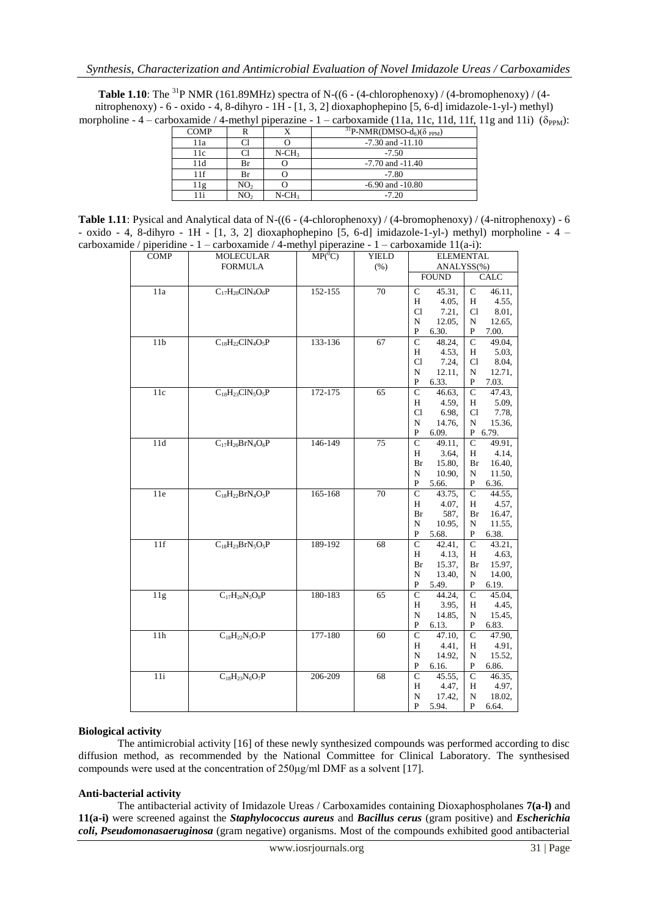**Table 1.10**: The <sup>31</sup>P NMR (161.89MHz) spectra of N-((6 - (4-chlorophenoxy) / (4-bromophenoxy) / (4nitrophenoxy) - 6 - oxido - 4, 8-dihyro - 1H - [1, 3, 2] dioxaphophepino [5, 6-d] imidazole-1-yl-) methyl) morpholine - 4 – carboxamide / 4-methyl piperazine - 1 – carboxamide (11a, 11c, 11d, 11f, 11g and 11i) ( $\delta_{PPM}$ ):

| <b>COMP</b> |                 |                      | <sup>31</sup> P-NMR(DMSO-d <sub>6</sub> )( $\delta$ <sub>PPM</sub> ) |
|-------------|-----------------|----------------------|----------------------------------------------------------------------|
| 11a         |                 |                      | $-7.30$ and $-11.10$                                                 |
| 11c         |                 | $N$ -CH <sub>3</sub> | $-7.50$                                                              |
| 11d         | Br              |                      | $-7.70$ and $-11.40$                                                 |
| 11f         | Br              |                      | $-7.80$                                                              |
|             | NO <sub>2</sub> |                      | $-6.90$ and $-10.80$                                                 |
|             | NO2             | $N$ -CH <sub>3</sub> | $-7.20$                                                              |

**Table 1.11**: Pysical and Analytical data of N-((6 - (4-chlorophenoxy) / (4-bromophenoxy) / (4-nitrophenoxy) - 6 - oxido - 4, 8-dihyro - 1H - [1, 3, 2] dioxaphophepino [5, 6-d] imidazole-1-yl-) methyl) morpholine - 4 – carboxamide / piperidine - 1 – carboxamide / 4-methyl piperazine - 1 – carboxamide 11(a-i):

| $\mathcal{C}$ / piperiume | carboxannuc / $\rightarrow$ -incuryi piperazine - 1 – carboxannuc 11(a-1). |                                      |              |                                        |                          |
|---------------------------|----------------------------------------------------------------------------|--------------------------------------|--------------|----------------------------------------|--------------------------|
| <b>COMP</b>               | MOLECULAR                                                                  | $\overline{\text{MP}({}^0\text{C})}$ | <b>YIELD</b> | <b>ELEMENTAL</b>                       |                          |
|                           | <b>FORMULA</b>                                                             |                                      | (% )         | ANALYSS(%)                             |                          |
|                           |                                                                            |                                      |              | <b>FOUND</b>                           | CALC                     |
| 11a                       | $C_{17}H_{20}C1N_4O_6P$                                                    | 152-155                              | 70           | $\mathbf{C}$<br>45.31,                 | $\mathbf{C}$<br>46.11,   |
|                           |                                                                            |                                      |              | H<br>4.05.                             | 4.55,<br>H               |
|                           |                                                                            |                                      |              | Cl<br>7.21,                            | Cl<br>8.01,              |
|                           |                                                                            |                                      |              | N<br>12.05,                            | 12.65,<br>N              |
|                           |                                                                            |                                      |              | P<br>6.30.                             | P 7.00.                  |
| $11b$                     | $C_{18}H_{22}C1N_4O_5P$                                                    | 133-136                              | 67           | $\mathsf{C}$<br>48.24,                 | $\mathbf{C}$<br>49.04,   |
|                           |                                                                            |                                      |              | H<br>4.53.                             | 5.03,<br>H –             |
|                           |                                                                            |                                      |              | Cl<br>7.24,                            | 8.04,<br>C1              |
|                           |                                                                            |                                      |              | N<br>12.11,                            | N 12.71,                 |
|                           |                                                                            |                                      |              | $\mathbf{P}$<br>6.33.                  | P<br>7.03.               |
| 11c                       | $C_{18}H_{23}C1N_5O_5P$                                                    | $172 - 175$                          | 65           | $\overline{C}$<br>46.63,               | $\overline{C}$<br>47.43. |
|                           |                                                                            |                                      |              | H<br>4.59,                             | 5.09,<br>H               |
|                           |                                                                            |                                      |              | Cl<br>6.98,                            | 7.78,<br>Cl              |
|                           |                                                                            |                                      |              | N<br>14.76,                            | 15.36,<br>N              |
|                           |                                                                            |                                      | 75           | P<br>6.09.<br>$\mathcal{C}$            | P 6.79.<br>$\mathcal{C}$ |
| 11d                       | $C_{17}H_{20}BrN_4O_6P$                                                    | 146-149                              |              | 49.11,<br>H<br>3.64,                   | 49.91,<br>H<br>4.14,     |
|                           |                                                                            |                                      |              | Br<br>15.80,                           | Br<br>16.40,             |
|                           |                                                                            |                                      |              | N<br>10.90,                            | 11.50,<br>N              |
|                           |                                                                            |                                      |              | P<br>5.66.                             | 6.36.<br>P               |
| 11e                       | $C_{18}H_{22}BrN_4O_5P$                                                    | 165-168                              | 70           | $\mathsf{C}$<br>43.75,                 | $\mathsf{C}$<br>44.55.   |
|                           |                                                                            |                                      |              | H<br>4.07,                             | 4.57,<br>H               |
|                           |                                                                            |                                      |              | 587,<br>Br                             | Br<br>16.47,             |
|                           |                                                                            |                                      |              | N<br>10.95,                            | N<br>11.55,              |
|                           |                                                                            |                                      |              | $\mathbf{P}$<br>5.68.                  | 6.38.<br>P               |
| 11f                       | $C_{18}H_{23}BrN_5O_5P$                                                    | 189-192                              | 68           | $\mathsf{C}$<br>42.41,                 | $\mathsf{C}$<br>43.21,   |
|                           |                                                                            |                                      |              | H<br>4.13,                             | 4.63.<br>H               |
|                           |                                                                            |                                      |              | Br<br>15.37,                           | 15.97,<br>Br             |
|                           |                                                                            |                                      |              | N<br>13.40,                            | N<br>14.00,              |
|                           |                                                                            |                                      |              | P<br>5.49.                             | P<br>6.19.               |
| 11g                       | $C_{17}H_{20}N_5O_8P$                                                      | 180-183                              | 65           | $\mathbf{C}$<br>44.24,                 | $\mathbf{C}$<br>45.04,   |
|                           |                                                                            |                                      |              | H<br>3.95,                             | 4.45,<br>Н               |
|                           |                                                                            |                                      |              | N<br>14.85,                            | N<br>15.45,              |
|                           |                                                                            |                                      |              | P<br>6.13.                             | P<br>6.83.               |
| 11h                       | $C_{18}H_{22}N_5O_7P$                                                      | 177-180                              | 60           | $\overline{C}$<br>$\overline{47.10}$ , | $\overline{C}$<br>47.90. |
|                           |                                                                            |                                      |              | 4.41,<br>H                             | H<br>4.91,               |
|                           |                                                                            |                                      |              | ${\bf N}$<br>14.92,                    | ${\bf N}$<br>15.52,      |
|                           |                                                                            |                                      |              | $\mathbf{P}$<br>6.16.                  | P<br>6.86.               |
| 11i                       | $C_{18}H_{23}N_6O_7P$                                                      | 206-209                              | 68           | $\mathsf{C}$<br>45.55,                 | $\mathsf{C}$<br>46.35.   |
|                           |                                                                            |                                      |              | H<br>4.47,                             | 4.97,<br>H               |
|                           |                                                                            |                                      |              | N<br>17.42,                            | 18.02,<br>N              |
|                           |                                                                            |                                      |              | P<br>5.94.                             | P<br>6.64.               |

#### **Biological activity**

The antimicrobial activity [16] of these newly synthesized compounds was performed according to disc diffusion method, as recommended by the National Committee for Clinical Laboratory. The synthesised compounds were used at the concentration of 250μg/ml DMF as a solvent [17].

#### **Anti-bacterial activity**

The antibacterial activity of Imidazole Ureas / Carboxamides containing Dioxaphospholanes **7(a-l)** and **11(a-i)** were screened against the *Staphylococcus aureus* and *Bacillus cerus* (gram positive) and *Escherichia coli***,** *Pseudomonasaeruginosa* (gram negative) organisms. Most of the compounds exhibited good antibacterial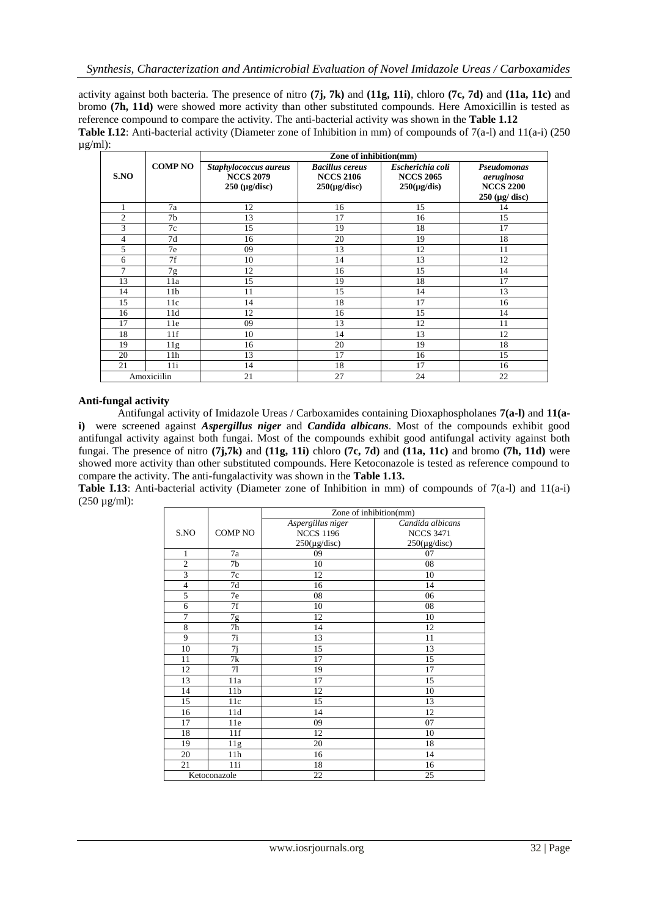activity against both bacteria. The presence of nitro **(7j, 7k)** and **(11g, 11i)**, chloro **(7c, 7d)** and **(11a, 11c)** and bromo **(7h, 11d)** were showed more activity than other substituted compounds. Here Amoxicillin is tested as reference compound to compare the activity. The anti-bacterial activity was shown in the **Table 1.12 Table I.12**: Anti-bacterial activity (Diameter zone of Inhibition in mm) of compounds of 7(a-l) and 11(a-i) (250 µg/ml):

|                |                 | Zone of inhibition(mm)                                             |                                                                 |                                                          |                                                                                 |  |  |
|----------------|-----------------|--------------------------------------------------------------------|-----------------------------------------------------------------|----------------------------------------------------------|---------------------------------------------------------------------------------|--|--|
| S.NO           | <b>COMP NO</b>  | Staphylococcus aureus<br><b>NCCS 2079</b><br>$250 \; (\mu g/disc)$ | <b>Bacillus cereus</b><br><b>NCCS 2106</b><br>$250(\mu g/disc)$ | Escherichia coli<br><b>NCCS 2065</b><br>$250(\mu g/dis)$ | Pseudomonas<br>aeruginosa<br><b>NCCS 2200</b><br>$250 \ (\mu g / \text{ disc})$ |  |  |
|                | 7a              | 12                                                                 | 16                                                              | 15                                                       | 14                                                                              |  |  |
| $\mathfrak{2}$ | 7b              | 13                                                                 | 17                                                              | 16                                                       | 15                                                                              |  |  |
| 3              | 7c              | 15                                                                 | 19                                                              | 18                                                       | 17                                                                              |  |  |
| $\overline{4}$ | 7d              | 16                                                                 | 20                                                              | 19                                                       | 18                                                                              |  |  |
| 5              | 7e              | 09                                                                 | 13                                                              | 12                                                       | 11                                                                              |  |  |
| 6              | 7f              | 10                                                                 | 14                                                              | 13                                                       | 12                                                                              |  |  |
| $\tau$         | 7g              | 12                                                                 | 16                                                              | 15                                                       | 14                                                                              |  |  |
| 13             | 11a             | 15                                                                 | 19                                                              | 18                                                       | 17                                                                              |  |  |
| 14             | 11 <sub>b</sub> | 11                                                                 | 15                                                              | 14                                                       | 13                                                                              |  |  |
| 15             | 11c             | 14                                                                 | 18                                                              | 17                                                       | 16                                                                              |  |  |
| 16             | 11d             | 12                                                                 | 16                                                              | 15                                                       | 14                                                                              |  |  |
| 17             | 11e             | 09                                                                 | 13                                                              | 12                                                       | 11                                                                              |  |  |
| 18             | 11f             | 10                                                                 | 14                                                              | 13                                                       | 12                                                                              |  |  |
| 19             | 11g             | 16                                                                 | 20                                                              | 19                                                       | 18                                                                              |  |  |
| 20             | 11 <sub>h</sub> | 13                                                                 | 17                                                              | 16                                                       | 15                                                                              |  |  |
| 21             | 11i             | 14                                                                 | 18                                                              | 17                                                       | 16                                                                              |  |  |
| Amoxiciilin    |                 | 21                                                                 | 27                                                              | 24                                                       | 22                                                                              |  |  |

#### **Anti-fungal activity**

Antifungal activity of Imidazole Ureas / Carboxamides containing Dioxaphospholanes **7(a-l)** and **11(ai)** were screened against *Aspergillus niger* and *Candida albicans*. Most of the compounds exhibit good antifungal activity against both fungai. Most of the compounds exhibit good antifungal activity against both fungai. The presence of nitro **(7j,7k)** and **(11g, 11i)** chloro **(7c, 7d)** and **(11a, 11c)** and bromo **(7h, 11d)** were showed more activity than other substituted compounds. Here Ketoconazole is tested as reference compound to compare the activity. The anti-fungalactivity was shown in the **Table 1.13.**

**Table I.13**: Anti-bacterial activity (Diameter zone of Inhibition in mm) of compounds of  $7(a-1)$  and  $11(a-i)$  $(250 \mu g/ml)$ :

|                |                 | Zone of inhibition(mm) |                   |  |
|----------------|-----------------|------------------------|-------------------|--|
|                |                 | Aspergillus niger      | Candida albicans  |  |
| S.NO           | <b>COMP NO</b>  | <b>NCCS 1196</b>       | <b>NCCS 3471</b>  |  |
|                |                 | $250(\mu g/disc)$      | $250(\mu g/disc)$ |  |
| 1              | 7a              | 09                     | 07                |  |
| $\overline{2}$ | 7b              | 10                     | 08                |  |
| 3              | 7c              | 12                     | 10                |  |
| $\overline{4}$ | 7d              | 16                     | 14                |  |
| 5              | 7e              | 08                     | 06                |  |
| 6              | 7f              | 10                     | 08                |  |
| 7              | 7g              | 12                     | 10                |  |
| 8              | 7h              | 14                     | 12                |  |
| 9              | 7i              | 13                     | 11                |  |
| 10             | 7j              | 15                     | 13                |  |
| 11             | 7k              | 17                     | 15                |  |
| 12             | 71              | 19                     | 17                |  |
| 13             | 11a             | 17                     | 15                |  |
| 14             | 11 <sub>b</sub> | 12                     | 10                |  |
| 15             | 11c             | 15                     | 13                |  |
| 16             | 11d             | 14                     | 12                |  |
| 17             | 11e             | 09                     | 07                |  |
| 18             | 11f             | 12                     | 10                |  |
| 19             | 11g             | 20                     | 18                |  |
| 20             | 11h             | 16                     | 14                |  |
| 21             | 11i             | 18                     | 16                |  |
| Ketoconazole   |                 | 22                     | 25                |  |